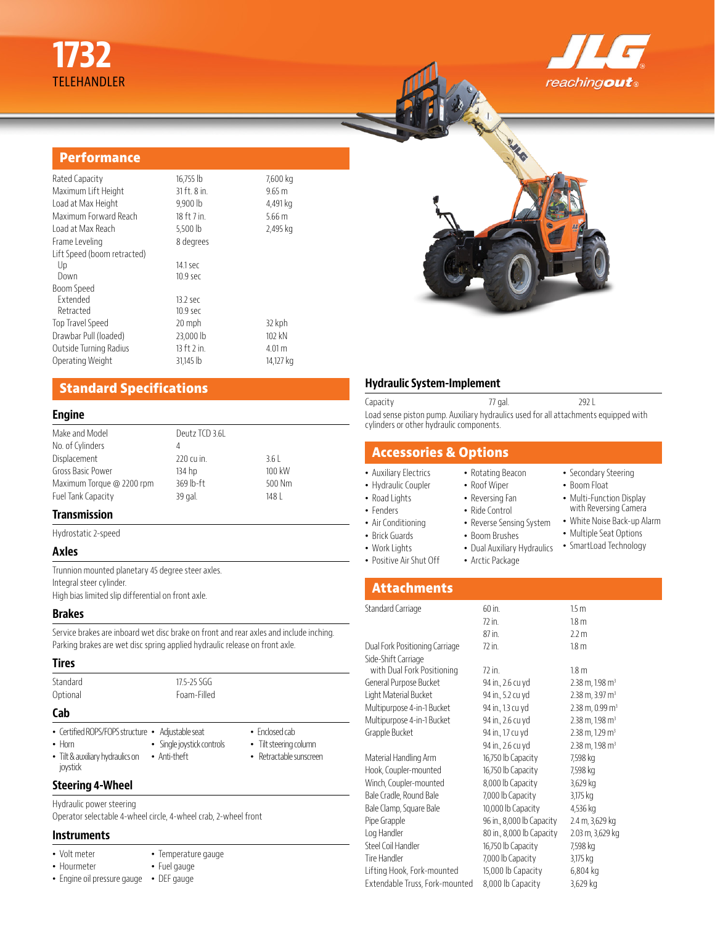

• Secondary Steering • Boom Float • Multi-Function Display with Reversing Camera • White Noise Back-up Alarm • Multiple Seat Options • SmartLoad Technology

#### **Performance**

| Rated Capacity              | 16,755 lb       | 7,600 kg         |
|-----------------------------|-----------------|------------------|
| Maximum Lift Height         | 31 ft. 8 in.    | $9.65 \text{ m}$ |
| Load at Max Height          | 9,900 lb        | 4,491 kg         |
| Maximum Forward Reach       | 18 ft 7 in.     | 5.66 m           |
| Load at Max Reach           | 5,500 lb        | 2,495 kg         |
| Frame Leveling              | 8 degrees       |                  |
| Lift Speed (boom retracted) |                 |                  |
| Up                          | 14.1 sec        |                  |
| Down                        | $10.9$ sec      |                  |
| Boom Speed                  |                 |                  |
| Extended                    | $13.2$ sec      |                  |
| Retracted                   | $10.9$ sec      |                  |
| Top Travel Speed            | 20 mph          | 32 kph           |
| Drawbar Pull (loaded)       | 23,000 lb       | 102 kN           |
| Outside Turning Radius      | $13$ ft $2$ in. | 4.01 m           |
| Operating Weight            | 31.145 lb       | 14,127 kg        |
|                             |                 |                  |

## **Standard Specifications**

#### **Engine**

| Make and Model            | Deutz TCD 3.6L |        |  |
|---------------------------|----------------|--------|--|
| No. of Cylinders          |                |        |  |
| Displacement              | 220 cu in.     | 3.61   |  |
| Gross Basic Power         | 134 hp         | 100 kW |  |
| Maximum Torque @ 2200 rpm | 369 lb-ft      | 500 Nm |  |
| Fuel Tank Capacity        | 39 gal.        | 148    |  |
|                           |                |        |  |

#### **Transmission**

Hydrostatic 2-speed

#### **Axles**

Trunnion mounted planetary 45 degree steer axles. Integral steer cylinder. High bias limited slip differential on front axle.

#### **Brakes**

Service brakes are inboard wet disc brake on front and rear axles and include inching. Parking brakes are wet disc spring applied hydraulic release on front axle.

#### **Tires**

| Standard<br>Optional                                              | $17.5 - 25.5$<br>Foam-Filled |                                                  |
|-------------------------------------------------------------------|------------------------------|--------------------------------------------------|
| Cab                                                               |                              |                                                  |
| • Certified ROPS/FOPS structure • Adjustable seat<br>$\cdot$ Horn | • Single joystick controls   | $\bullet$ Fnclosed cab<br>• Tilt steering column |

- Tilt & auxiliary hydraulics on Anti-theft joystick
- 

• Temperature gauge • Fuel gauge

• Retractable sunscreen

#### **Steering 4-Wheel**

Hydraulic power steering Operator selectable 4-wheel circle, 4-wheel crab, 2-wheel front

#### **Instruments**

- Volt meter
- Hourmeter
- Engine oil pressure gauge DEF gauge

#### **Hydraulic System-Implement**

Capacity 292 L Load sense piston pump. Auxiliary hydraulics used for all attachments equipped with cylinders or other hydraulic components.

> • Rotating Beacon • Roof Wiper • Reversing Fan • Ride Control • Reverse Sensing System • Boom Brushes • Dual Auxiliary Hydraulics • Arctic Package

# **Accessories & Options**

# • Auxiliary Electrics

- Hydraulic Coupler • Road Lights
- Fenders
- Air Conditioning
- 
- Brick Guards
	- Work Lights
- Positive Air Shut Off

# **Attachments**

| Standard Carriage              | 60 in.                    | 1.5 <sub>m</sub>                |
|--------------------------------|---------------------------|---------------------------------|
|                                | 72 in.                    | 1.8 <sub>m</sub>                |
|                                | 87 in.                    | 2.2 <sub>m</sub>                |
| Dual Fork Positioning Carriage | 72 in.                    | 1.8 <sub>m</sub>                |
| Side-Shift Carriage            |                           |                                 |
| with Dual Fork Positioning     | 72 in.                    | 1.8 <sub>m</sub>                |
| General Purpose Bucket         | 94 in., 2.6 cu yd         | $2.38$ m, 1.98 m <sup>3</sup>   |
| Light Material Bucket          | 94 in., 5.2 cu yd         | $2.38$ m, $3.97$ m <sup>3</sup> |
| Multipurpose 4-in-1 Bucket     | 94 in., 1.3 cu yd         | $2.38$ m, 0.99 m <sup>3</sup>   |
| Multipurpose 4-in-1 Bucket     | 94 in., 2.6 cu yd         | $2.38$ m, 1.98 m <sup>3</sup>   |
| Grapple Bucket                 | 94 in., 1.7 cu yd         | $2.38$ m, 1.29 m <sup>3</sup>   |
|                                | 94 in., 2.6 cu yd         | $2.38$ m, 1.98 m <sup>3</sup>   |
| Material Handling Arm          | 16,750 lb Capacity        | 7,598 kg                        |
| Hook, Coupler-mounted          | 16,750 lb Capacity        | 7,598 kg                        |
| Winch, Coupler-mounted         | 8,000 lb Capacity         | 3,629 kg                        |
| Bale Cradle, Round Bale        | 7,000 lb Capacity         | 3,175 kg                        |
| Bale Clamp, Square Bale        | 10,000 lb Capacity        | 4,536 kg                        |
| Pipe Grapple                   | 96 in., 8,000 lb Capacity | 2.4 m, 3,629 kg                 |
| Log Handler                    | 80 in., 8,000 lb Capacity | 2.03 m, 3,629 kg                |
| Steel Coil Handler             | 16,750 lb Capacity        | 7,598 kg                        |
| Tire Handler                   | 7,000 lb Capacity         | 3,175 kg                        |
| Lifting Hook, Fork-mounted     | 15,000 lb Capacity        | 6,804 kg                        |
| Extendable Truss, Fork-mounted | 8,000 lb Capacity         | 3,629 kg                        |
|                                |                           |                                 |